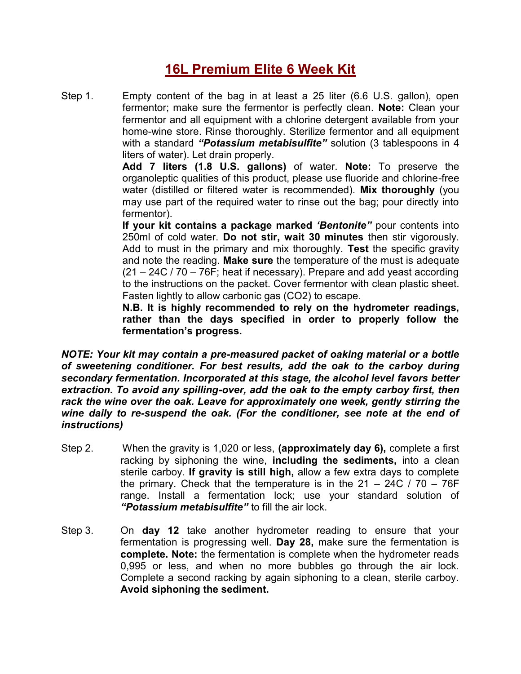## **16L Premium Elite 6 Week Kit**

Step 1. Empty content of the bag in at least a 25 liter (6.6 U.S. gallon), open fermentor; make sure the fermentor is perfectly clean. **Note:** Clean your fermentor and all equipment with a chlorine detergent available from your home-wine store. Rinse thoroughly. Sterilize fermentor and all equipment with a standard *"Potassium metabisulfite"* solution (3 tablespoons in 4 liters of water). Let drain properly.

> **Add 7 liters (1.8 U.S. gallons)** of water. **Note:** To preserve the organoleptic qualities of this product, please use fluoride and chlorine-free water (distilled or filtered water is recommended). **Mix thoroughly** (you may use part of the required water to rinse out the bag; pour directly into fermentor).

> **If your kit contains a package marked** *'Bentonite"* pour contents into 250ml of cold water. **Do not stir, wait 30 minutes** then stir vigorously. Add to must in the primary and mix thoroughly. **Test** the specific gravity and note the reading. **Make sure** the temperature of the must is adequate (21 – 24C / 70 – 76F; heat if necessary). Prepare and add yeast according to the instructions on the packet. Cover fermentor with clean plastic sheet. Fasten lightly to allow carbonic gas (CO2) to escape.

> **N.B. It is highly recommended to rely on the hydrometer readings, rather than the days specified in order to properly follow the fermentation's progress.**

*NOTE: Your kit may contain a pre-measured packet of oaking material or a bottle of sweetening conditioner. For best results, add the oak to the carboy during secondary fermentation. Incorporated at this stage, the alcohol level favors better extraction. To avoid any spilling-over, add the oak to the empty carboy first, then rack the wine over the oak. Leave for approximately one week, gently stirring the wine daily to re-suspend the oak. (For the conditioner, see note at the end of instructions)*

- Step 2. When the gravity is 1,020 or less, **(approximately day 6),** complete a first racking by siphoning the wine, **including the sediments,** into a clean sterile carboy. **If gravity is still high,** allow a few extra days to complete the primary. Check that the temperature is in the  $21 - 24C / 70 - 76F$ range. Install a fermentation lock; use your standard solution of *"Potassium metabisulfite"* to fill the air lock.
- Step 3. On **day 12** take another hydrometer reading to ensure that your fermentation is progressing well. **Day 28,** make sure the fermentation is **complete. Note:** the fermentation is complete when the hydrometer reads 0,995 or less, and when no more bubbles go through the air lock. Complete a second racking by again siphoning to a clean, sterile carboy. **Avoid siphoning the sediment.**